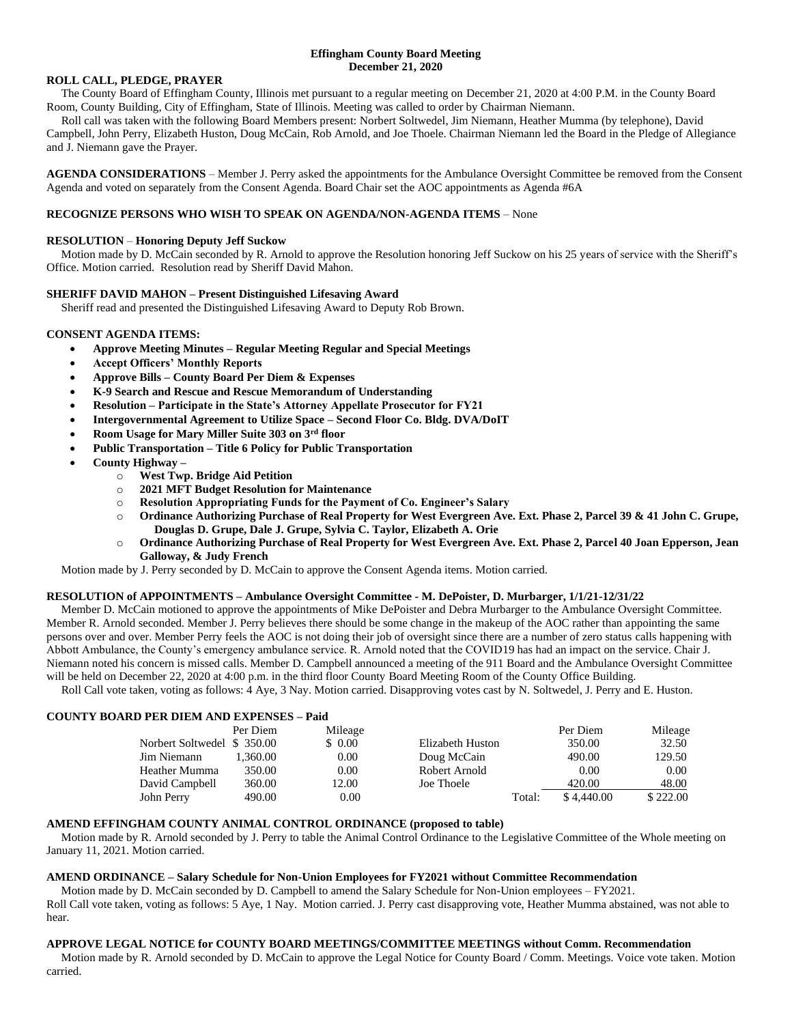### **Effingham County Board Meeting December 21, 2020**

#### **ROLL CALL, PLEDGE, PRAYER**

 The County Board of Effingham County, Illinois met pursuant to a regular meeting on December 21, 2020 at 4:00 P.M. in the County Board Room, County Building, City of Effingham, State of Illinois. Meeting was called to order by Chairman Niemann.

 Roll call was taken with the following Board Members present: Norbert Soltwedel, Jim Niemann, Heather Mumma (by telephone), David Campbell, John Perry, Elizabeth Huston, Doug McCain, Rob Arnold, and Joe Thoele. Chairman Niemann led the Board in the Pledge of Allegiance and J. Niemann gave the Prayer.

**AGENDA CONSIDERATIONS** – Member J. Perry asked the appointments for the Ambulance Oversight Committee be removed from the Consent Agenda and voted on separately from the Consent Agenda. Board Chair set the AOC appointments as Agenda #6A

### **RECOGNIZE PERSONS WHO WISH TO SPEAK ON AGENDA/NON-AGENDA ITEMS** – None

#### **RESOLUTION** – **Honoring Deputy Jeff Suckow**

 Motion made by D. McCain seconded by R. Arnold to approve the Resolution honoring Jeff Suckow on his 25 years of service with the Sheriff's Office. Motion carried. Resolution read by Sheriff David Mahon.

#### **SHERIFF DAVID MAHON – Present Distinguished Lifesaving Award**

Sheriff read and presented the Distinguished Lifesaving Award to Deputy Rob Brown.

### **CONSENT AGENDA ITEMS:**

- **Approve Meeting Minutes – Regular Meeting Regular and Special Meetings**
- **Accept Officers' Monthly Reports**
- **Approve Bills – County Board Per Diem & Expenses**
- **K-9 Search and Rescue and Rescue Memorandum of Understanding**
- **Resolution – Participate in the State's Attorney Appellate Prosecutor for FY21**
- **Intergovernmental Agreement to Utilize Space – Second Floor Co. Bldg. DVA/DoIT**
- **Room Usage for Mary Miller Suite 303 on 3rd floor**
- **Public Transportation – Title 6 Policy for Public Transportation**
- **County Highway –**
	- o **West Twp. Bridge Aid Petition**
	- o **2021 MFT Budget Resolution for Maintenance**
	- o **Resolution Appropriating Funds for the Payment of Co. Engineer's Salary**
	- o **Ordinance Authorizing Purchase of Real Property for West Evergreen Ave. Ext. Phase 2, Parcel 39 & 41 John C. Grupe, Douglas D. Grupe, Dale J. Grupe, Sylvia C. Taylor, Elizabeth A. Orie**
	- o **Ordinance Authorizing Purchase of Real Property for West Evergreen Ave. Ext. Phase 2, Parcel 40 Joan Epperson, Jean Galloway, & Judy French**

Motion made by J. Perry seconded by D. McCain to approve the Consent Agenda items. Motion carried.

#### **RESOLUTION of APPOINTMENTS – Ambulance Oversight Committee - M. DePoister, D. Murbarger, 1/1/21-12/31/22**

Member D. McCain motioned to approve the appointments of Mike DePoister and Debra Murbarger to the Ambulance Oversight Committee. Member R. Arnold seconded. Member J. Perry believes there should be some change in the makeup of the AOC rather than appointing the same persons over and over. Member Perry feels the AOC is not doing their job of oversight since there are a number of zero status calls happening with Abbott Ambulance, the County's emergency ambulance service. R. Arnold noted that the COVID19 has had an impact on the service. Chair J. Niemann noted his concern is missed calls. Member D. Campbell announced a meeting of the 911 Board and the Ambulance Oversight Committee will be held on December 22, 2020 at 4:00 p.m. in the third floor County Board Meeting Room of the County Office Building.

Roll Call vote taken, voting as follows: 4 Aye, 3 Nay. Motion carried. Disapproving votes cast by N. Soltwedel, J. Perry and E. Huston.

### **COUNTY BOARD PER DIEM AND EXPENSES – Paid**

|                            | Per Diem | Mileage |                  |        | Per Diem   | Mileage  |
|----------------------------|----------|---------|------------------|--------|------------|----------|
| Norbert Soltwedel \$350.00 |          | \$0.00  | Elizabeth Huston |        | 350.00     | 32.50    |
| Jim Niemann                | 1.360.00 | 0.00    | Doug McCain      |        | 490.00     | 129.50   |
| Heather Mumma              | 350.00   | 0.00    | Robert Arnold    |        | 0.00       | 0.00     |
| David Campbell             | 360.00   | 12.00   | Joe Thoele       |        | 420.00     | 48.00    |
| John Perry                 | 490.00   | 0.00    |                  | Total: | \$4,440.00 | \$222.00 |

### **AMEND EFFINGHAM COUNTY ANIMAL CONTROL ORDINANCE (proposed to table)**

 Motion made by R. Arnold seconded by J. Perry to table the Animal Control Ordinance to the Legislative Committee of the Whole meeting on January 11, 2021. Motion carried.

#### **AMEND ORDINANCE – Salary Schedule for Non-Union Employees for FY2021 without Committee Recommendation**

 Motion made by D. McCain seconded by D. Campbell to amend the Salary Schedule for Non-Union employees – FY2021. Roll Call vote taken, voting as follows: 5 Aye, 1 Nay. Motion carried. J. Perry cast disapproving vote, Heather Mumma abstained, was not able to hear.

#### **APPROVE LEGAL NOTICE for COUNTY BOARD MEETINGS/COMMITTEE MEETINGS without Comm. Recommendation**

 Motion made by R. Arnold seconded by D. McCain to approve the Legal Notice for County Board / Comm. Meetings. Voice vote taken. Motion carried.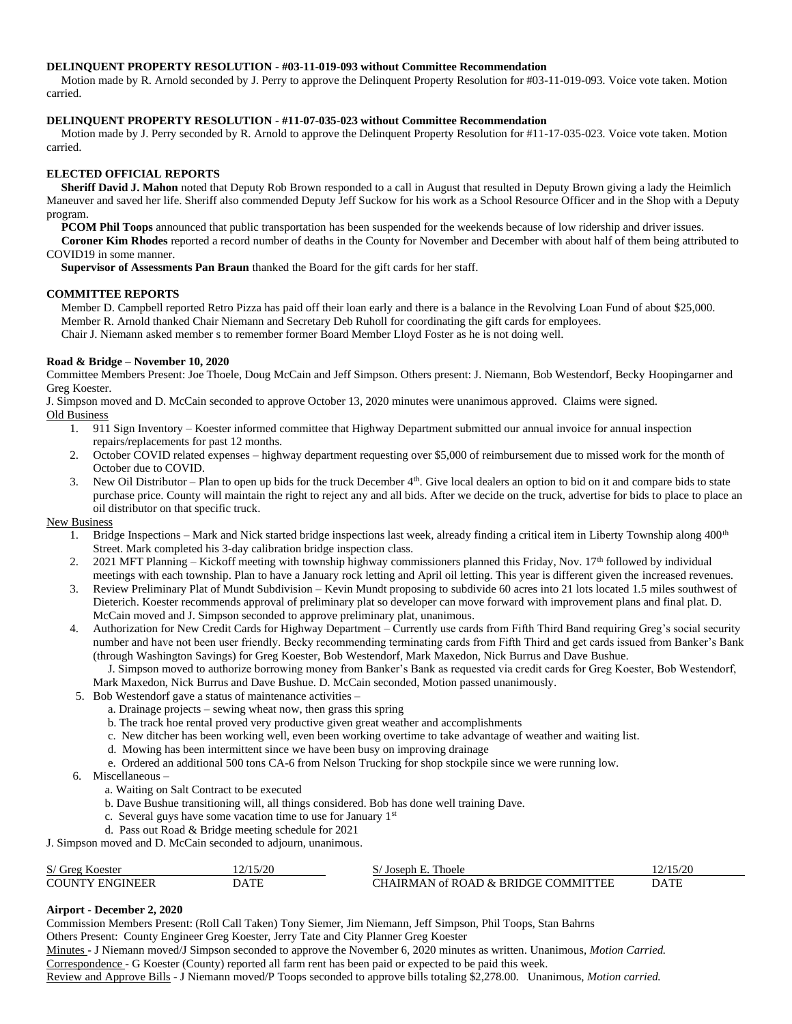### **DELINQUENT PROPERTY RESOLUTION - #03-11-019-093 without Committee Recommendation**

 Motion made by R. Arnold seconded by J. Perry to approve the Delinquent Property Resolution for #03-11-019-093. Voice vote taken. Motion carried.

# **DELINQUENT PROPERTY RESOLUTION - #11-07-035-023 without Committee Recommendation**

 Motion made by J. Perry seconded by R. Arnold to approve the Delinquent Property Resolution for #11-17-035-023. Voice vote taken. Motion carried.

# **ELECTED OFFICIAL REPORTS**

 **Sheriff David J. Mahon** noted that Deputy Rob Brown responded to a call in August that resulted in Deputy Brown giving a lady the Heimlich Maneuver and saved her life. Sheriff also commended Deputy Jeff Suckow for his work as a School Resource Officer and in the Shop with a Deputy program.

**PCOM Phil Toops** announced that public transportation has been suspended for the weekends because of low ridership and driver issues.

 **Coroner Kim Rhodes** reported a record number of deaths in the County for November and December with about half of them being attributed to COVID19 in some manner.

**Supervisor of Assessments Pan Braun** thanked the Board for the gift cards for her staff.

### **COMMITTEE REPORTS**

 Member D. Campbell reported Retro Pizza has paid off their loan early and there is a balance in the Revolving Loan Fund of about \$25,000. Member R. Arnold thanked Chair Niemann and Secretary Deb Ruholl for coordinating the gift cards for employees. Chair J. Niemann asked member s to remember former Board Member Lloyd Foster as he is not doing well.

### **Road & Bridge – November 10, 2020**

Committee Members Present: Joe Thoele, Doug McCain and Jeff Simpson. Others present: J. Niemann, Bob Westendorf, Becky Hoopingarner and Greg Koester.

J. Simpson moved and D. McCain seconded to approve October 13, 2020 minutes were unanimous approved. Claims were signed. Old Business

- 1. 911 Sign Inventory Koester informed committee that Highway Department submitted our annual invoice for annual inspection repairs/replacements for past 12 months.
- 2. October COVID related expenses highway department requesting over \$5,000 of reimbursement due to missed work for the month of October due to COVID.
- 3. New Oil Distributor Plan to open up bids for the truck December  $4<sup>th</sup>$ . Give local dealers an option to bid on it and compare bids to state purchase price. County will maintain the right to reject any and all bids. After we decide on the truck, advertise for bids to place to place an oil distributor on that specific truck.

### New Business

- 1. Bridge Inspections Mark and Nick started bridge inspections last week, already finding a critical item in Liberty Township along 400<sup>th</sup> Street. Mark completed his 3-day calibration bridge inspection class.
- 2. 2021 MFT Planning Kickoff meeting with township highway commissioners planned this Friday, Nov. 17<sup>th</sup> followed by individual meetings with each township. Plan to have a January rock letting and April oil letting. This year is different given the increased revenues.
- 3. Review Preliminary Plat of Mundt Subdivision Kevin Mundt proposing to subdivide 60 acres into 21 lots located 1.5 miles southwest of Dieterich. Koester recommends approval of preliminary plat so developer can move forward with improvement plans and final plat. D. McCain moved and J. Simpson seconded to approve preliminary plat, unanimous.
- 4. Authorization for New Credit Cards for Highway Department Currently use cards from Fifth Third Band requiring Greg's social security number and have not been user friendly. Becky recommending terminating cards from Fifth Third and get cards issued from Banker's Bank (through Washington Savings) for Greg Koester, Bob Westendorf, Mark Maxedon, Nick Burrus and Dave Bushue.

 J. Simpson moved to authorize borrowing money from Banker's Bank as requested via credit cards for Greg Koester, Bob Westendorf, Mark Maxedon, Nick Burrus and Dave Bushue. D. McCain seconded, Motion passed unanimously.

- 5. Bob Westendorf gave a status of maintenance activities
	- a. Drainage projects sewing wheat now, then grass this spring
	- b. The track hoe rental proved very productive given great weather and accomplishments
	- c. New ditcher has been working well, even been working overtime to take advantage of weather and waiting list.
	- d. Mowing has been intermittent since we have been busy on improving drainage
	- e. Ordered an additional 500 tons CA-6 from Nelson Trucking for shop stockpile since we were running low.
- 6. Miscellaneous
	- a. Waiting on Salt Contract to be executed
	- b. Dave Bushue transitioning will, all things considered. Bob has done well training Dave.
	- c. Several guys have some vacation time to use for January 1st
	- d. Pass out Road & Bridge meeting schedule for 2021

J. Simpson moved and D. McCain seconded to adjourn, unanimous.

| S/ Greg Koester        | (2/15/20) | <b>Thoele</b><br>Tosenh             |             |
|------------------------|-----------|-------------------------------------|-------------|
| <b>COUNTY ENGINEER</b> | DATF      | CHAIRMAN of ROAD & BRIDGE COMMITTEE | <b>DATE</b> |

### **Airport - December 2, 2020**

Commission Members Present: (Roll Call Taken) Tony Siemer, Jim Niemann, Jeff Simpson, Phil Toops, Stan Bahrns

Others Present: County Engineer Greg Koester, Jerry Tate and City Planner Greg Koester

Minutes - J Niemann moved/J Simpson seconded to approve the November 6, 2020 minutes as written. Unanimous, *Motion Carried.* Correspondence - G Koester (County) reported all farm rent has been paid or expected to be paid this week.

Review and Approve Bills - J Niemann moved/P Toops seconded to approve bills totaling \$2,278.00. Unanimous, *Motion carried.*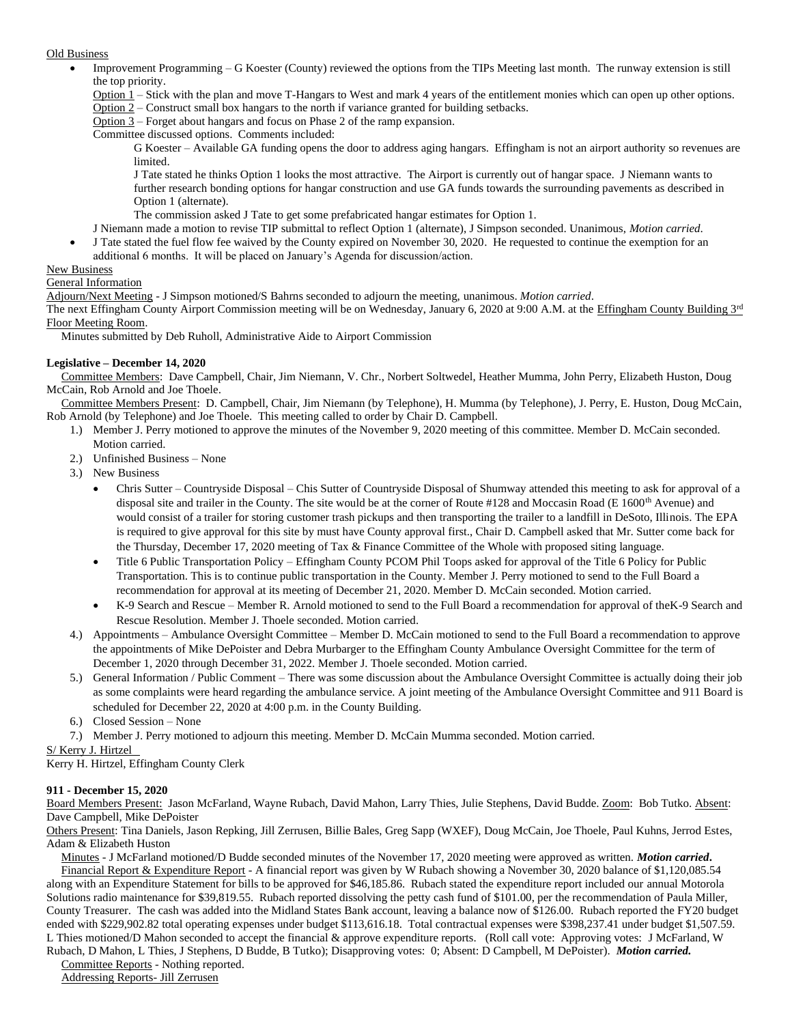### Old Business

- Improvement Programming G Koester (County) reviewed the options from the TIPs Meeting last month. The runway extension is still the top priority.
	- Option 1 Stick with the plan and move T-Hangars to West and mark 4 years of the entitlement monies which can open up other options.
	- Option 2 Construct small box hangars to the north if variance granted for building setbacks.
	- Option 3 Forget about hangars and focus on Phase 2 of the ramp expansion.
	- Committee discussed options. Comments included:
		- G Koester Available GA funding opens the door to address aging hangars. Effingham is not an airport authority so revenues are limited.
		- J Tate stated he thinks Option 1 looks the most attractive. The Airport is currently out of hangar space. J Niemann wants to further research bonding options for hangar construction and use GA funds towards the surrounding pavements as described in Option 1 (alternate).
		- The commission asked J Tate to get some prefabricated hangar estimates for Option 1.
	- J Niemann made a motion to revise TIP submittal to reflect Option 1 (alternate), J Simpson seconded. Unanimous, *Motion carried*.
	- J Tate stated the fuel flow fee waived by the County expired on November 30, 2020. He requested to continue the exemption for an additional 6 months. It will be placed on January's Agenda for discussion/action.

### New Business

### General Information

Adjourn/Next Meeting - J Simpson motioned/S Bahrns seconded to adjourn the meeting, unanimous. *Motion carried*.

The next Effingham County Airport Commission meeting will be on Wednesday, January 6, 2020 at 9:00 A.M. at the Effingham County Building 3rd Floor Meeting Room.

Minutes submitted by Deb Ruholl, Administrative Aide to Airport Commission

# **Legislative – December 14, 2020**

 Committee Members: Dave Campbell, Chair, Jim Niemann, V. Chr., Norbert Soltwedel, Heather Mumma, John Perry, Elizabeth Huston, Doug McCain, Rob Arnold and Joe Thoele.

 Committee Members Present: D. Campbell, Chair, Jim Niemann (by Telephone), H. Mumma (by Telephone), J. Perry, E. Huston, Doug McCain, Rob Arnold (by Telephone) and Joe Thoele. This meeting called to order by Chair D. Campbell.

- 1.) Member J. Perry motioned to approve the minutes of the November 9, 2020 meeting of this committee. Member D. McCain seconded. Motion carried.
- 2.) Unfinished Business None
- 3.) New Business
	- Chris Sutter Countryside Disposal Chis Sutter of Countryside Disposal of Shumway attended this meeting to ask for approval of a disposal site and trailer in the County. The site would be at the corner of Route #128 and Moccasin Road (E 1600<sup>th</sup> Avenue) and would consist of a trailer for storing customer trash pickups and then transporting the trailer to a landfill in DeSoto, Illinois. The EPA is required to give approval for this site by must have County approval first., Chair D. Campbell asked that Mr. Sutter come back for the Thursday, December 17, 2020 meeting of Tax & Finance Committee of the Whole with proposed siting language.
	- Title 6 Public Transportation Policy Effingham County PCOM Phil Toops asked for approval of the Title 6 Policy for Public Transportation. This is to continue public transportation in the County. Member J. Perry motioned to send to the Full Board a recommendation for approval at its meeting of December 21, 2020. Member D. McCain seconded. Motion carried.
	- K-9 Search and Rescue Member R. Arnold motioned to send to the Full Board a recommendation for approval of theK-9 Search and Rescue Resolution. Member J. Thoele seconded. Motion carried.
- 4.) Appointments Ambulance Oversight Committee Member D. McCain motioned to send to the Full Board a recommendation to approve the appointments of Mike DePoister and Debra Murbarger to the Effingham County Ambulance Oversight Committee for the term of December 1, 2020 through December 31, 2022. Member J. Thoele seconded. Motion carried.
- 5.) General Information / Public Comment There was some discussion about the Ambulance Oversight Committee is actually doing their job as some complaints were heard regarding the ambulance service. A joint meeting of the Ambulance Oversight Committee and 911 Board is scheduled for December 22, 2020 at 4:00 p.m. in the County Building.
- 6.) Closed Session None
- 7.) Member J. Perry motioned to adjourn this meeting. Member D. McCain Mumma seconded. Motion carried.

S/ Kerry J. Hirtzel

Kerry H. Hirtzel, Effingham County Clerk

# **911 - December 15, 2020**

Board Members Present: Jason McFarland, Wayne Rubach, David Mahon, Larry Thies, Julie Stephens, David Budde. Zoom: Bob Tutko. Absent: Dave Campbell, Mike DePoister

Others Present: Tina Daniels, Jason Repking, Jill Zerrusen, Billie Bales, Greg Sapp (WXEF), Doug McCain, Joe Thoele, Paul Kuhns, Jerrod Estes, Adam & Elizabeth Huston

Minutes - J McFarland motioned/D Budde seconded minutes of the November 17, 2020 meeting were approved as written. *Motion carried***.** 

Financial Report & Expenditure Report - A financial report was given by W Rubach showing a November 30, 2020 balance of \$1,120,085.54 along with an Expenditure Statement for bills to be approved for \$46,185.86. Rubach stated the expenditure report included our annual Motorola Solutions radio maintenance for \$39,819.55. Rubach reported dissolving the petty cash fund of \$101.00, per the recommendation of Paula Miller, County Treasurer. The cash was added into the Midland States Bank account, leaving a balance now of \$126.00. Rubach reported the FY20 budget ended with \$229,902.82 total operating expenses under budget \$113,616.18. Total contractual expenses were \$398,237.41 under budget \$1,507.59. L Thies motioned/D Mahon seconded to accept the financial & approve expenditure reports. (Roll call vote: Approving votes: J McFarland, W Rubach, D Mahon, L Thies, J Stephens, D Budde, B Tutko); Disapproving votes: 0; Absent: D Campbell, M DePoister). *Motion carried.*

**Committee Reports - Nothing reported.** 

Addressing Reports- Jill Zerrusen